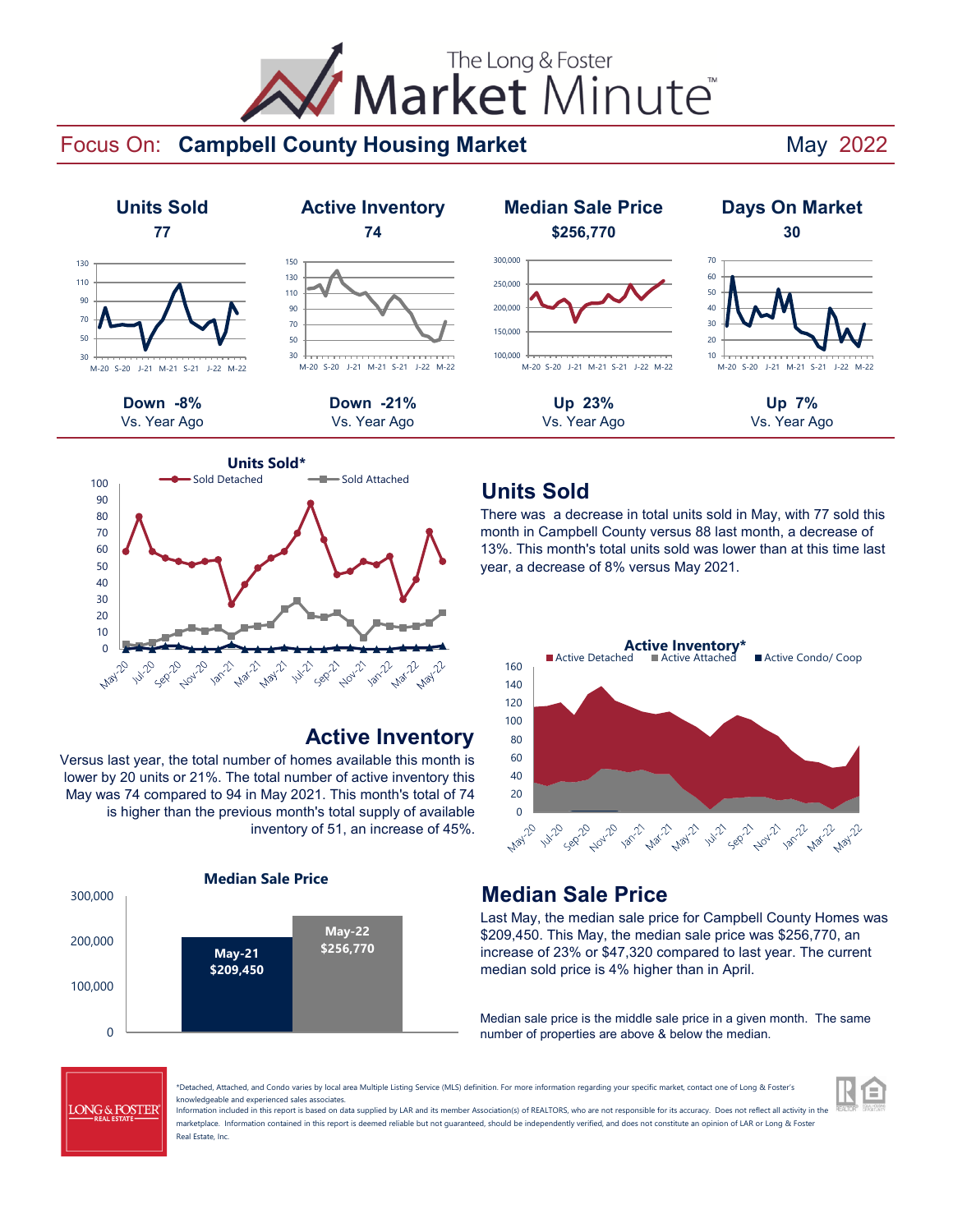# The Long & Foster Market Minute

### Focus On: Campbell County Housing Market **County Housing Market** May 2022





### **Active Inventory**

Versus last year, the total number of homes available this month is lower by 20 units or 21%. The total number of active inventory this May was 74 compared to 94 in May 2021. This month's total of 74 is higher than the previous month's total supply of available inventory of 51, an increase of 45%.



### **Units Sold**

There was a decrease in total units sold in May, with 77 sold this month in Campbell County versus 88 last month, a decrease of 13%. This month's total units sold was lower than at this time last year, a decrease of 8% versus May 2021.



### **Median Sale Price**

Last May, the median sale price for Campbell County Homes was \$209,450. This May, the median sale price was \$256,770, an increase of 23% or \$47,320 compared to last year. The current median sold price is 4% higher than in April.

Median sale price is the middle sale price in a given month. The same number of properties are above & below the median.



\*Detached, Attached, and Condo varies by local area Multiple Listing Service (MLS) definition. For more information regarding your specific market, contact one of Long & Foster's knowledgeable and experienced sales associates.

Information included in this report is based on data supplied by LAR and its member Association(s) of REALTORS, who are not responsible for its accuracy. Does not reflect all activity in the marketplace. Information contained in this report is deemed reliable but not quaranteed, should be independently verified, and does not constitute an opinion of LAR or Long & Foster Real Estate, Inc.